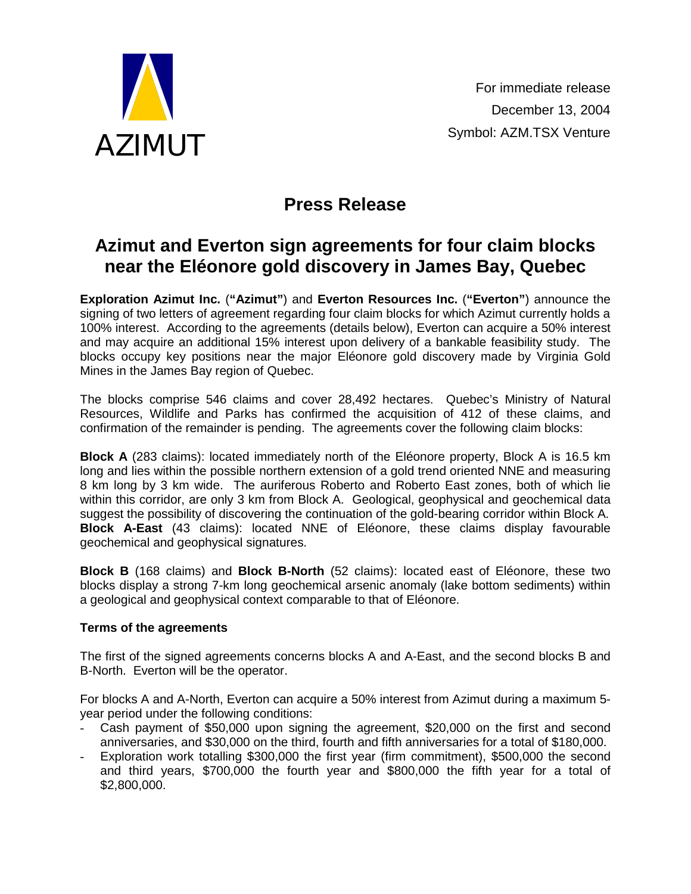

## **Press Release**

## **Azimut and Everton sign agreements for four claim blocks near the Eléonore gold discovery in James Bay, Quebec**

**Exploration Azimut Inc.** (**"Azimut"**) and **Everton Resources Inc.** (**"Everton"**) announce the signing of two letters of agreement regarding four claim blocks for which Azimut currently holds a 100% interest. According to the agreements (details below), Everton can acquire a 50% interest and may acquire an additional 15% interest upon delivery of a bankable feasibility study. The blocks occupy key positions near the major Eléonore gold discovery made by Virginia Gold Mines in the James Bay region of Quebec.

The blocks comprise 546 claims and cover 28,492 hectares. Quebec's Ministry of Natural Resources, Wildlife and Parks has confirmed the acquisition of 412 of these claims, and confirmation of the remainder is pending. The agreements cover the following claim blocks:

**Block A** (283 claims): located immediately north of the Eléonore property, Block A is 16.5 km long and lies within the possible northern extension of a gold trend oriented NNE and measuring 8 km long by 3 km wide. The auriferous Roberto and Roberto East zones, both of which lie within this corridor, are only 3 km from Block A. Geological, geophysical and geochemical data suggest the possibility of discovering the continuation of the gold-bearing corridor within Block A. **Block A-East** (43 claims): located NNE of Eléonore, these claims display favourable geochemical and geophysical signatures.

**Block B** (168 claims) and **Block B-North** (52 claims): located east of Eléonore, these two blocks display a strong 7-km long geochemical arsenic anomaly (lake bottom sediments) within a geological and geophysical context comparable to that of Eléonore.

## **Terms of the agreements**

The first of the signed agreements concerns blocks A and A-East, and the second blocks B and B-North. Everton will be the operator.

For blocks A and A-North, Everton can acquire a 50% interest from Azimut during a maximum 5 year period under the following conditions:

- Cash payment of \$50,000 upon signing the agreement, \$20,000 on the first and second anniversaries, and \$30,000 on the third, fourth and fifth anniversaries for a total of \$180,000.
- Exploration work totalling \$300,000 the first year (firm commitment), \$500,000 the second and third years, \$700,000 the fourth year and \$800,000 the fifth year for a total of \$2,800,000.